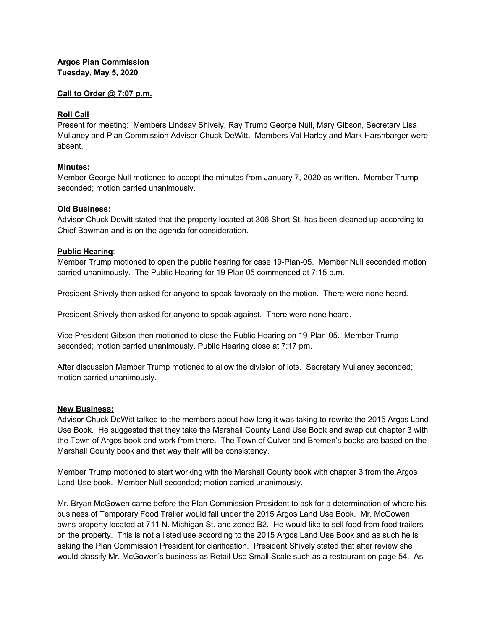# **Argos Plan Commission Tuesday, May 5, 2020**

## **Call to Order @ 7:07 p.m.**

## **Roll Call**

Present for meeting: Members Lindsay Shively, Ray Trump George Null, Mary Gibson, Secretary Lisa Mullaney and Plan Commission Advisor Chuck DeWitt. Members Val Harley and Mark Harshbarger were absent.

## **Minutes:**

Member George Null motioned to accept the minutes from January 7, 2020 as written. Member Trump seconded; motion carried unanimously.

#### **Old Business:**

Advisor Chuck Dewitt stated that the property located at 306 Short St. has been cleaned up according to Chief Bowman and is on the agenda for consideration.

## **Public Hearing**:

Member Trump motioned to open the public hearing for case 19-Plan-05. Member Null seconded motion carried unanimously. The Public Hearing for 19-Plan 05 commenced at 7:15 p.m.

President Shively then asked for anyone to speak favorably on the motion. There were none heard.

President Shively then asked for anyone to speak against. There were none heard.

Vice President Gibson then motioned to close the Public Hearing on 19-Plan-05. Member Trump seconded; motion carried unanimously. Public Hearing close at 7:17 pm.

After discussion Member Trump motioned to allow the division of lots. Secretary Mullaney seconded; motion carried unanimously.

#### **New Business:**

Advisor Chuck DeWitt talked to the members about how long it was taking to rewrite the 2015 Argos Land Use Book. He suggested that they take the Marshall County Land Use Book and swap out chapter 3 with the Town of Argos book and work from there. The Town of Culver and Bremen's books are based on the Marshall County book and that way their will be consistency.

Member Trump motioned to start working with the Marshall County book with chapter 3 from the Argos Land Use book. Member Null seconded; motion carried unanimously.

Mr. Bryan McGowen came before the Plan Commission President to ask for a determination of where his business of Temporary Food Trailer would fall under the 2015 Argos Land Use Book. Mr. McGowen owns property located at 711 N. Michigan St. and zoned B2. He would like to sell food from food trailers on the property. This is not a listed use according to the 2015 Argos Land Use Book and as such he is asking the Plan Commission President for clarification. President Shively stated that after review she would classify Mr. McGowen's business as Retail Use Small Scale such as a restaurant on page 54. As